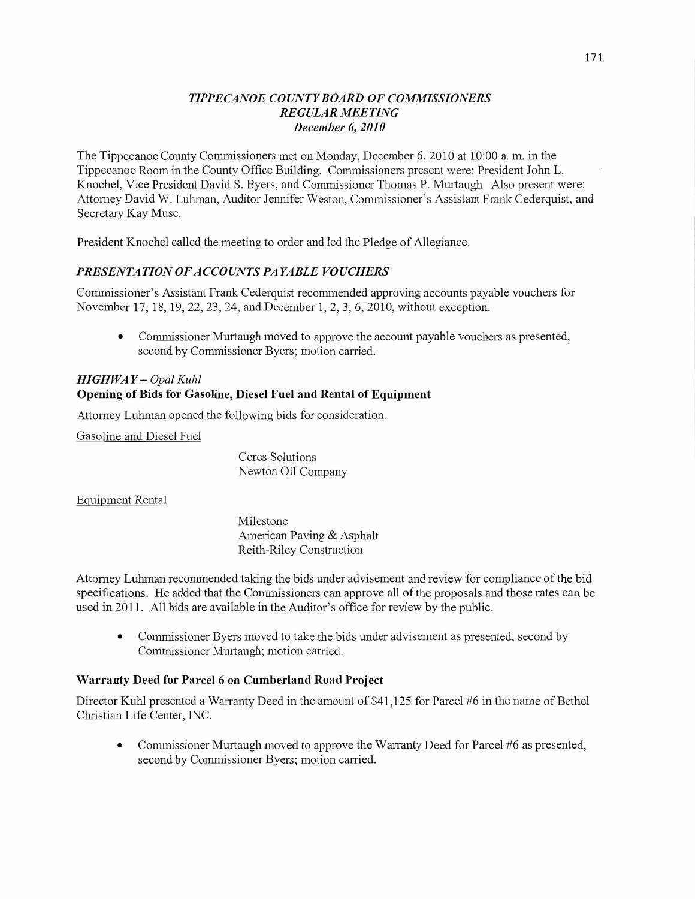## *TIPPE CANOE COUNTY BOARD* OF *COMMISSIONERS REGULAR MEETING December* 6, *2010*

The Tippecanoe County Commissioners met on Monday, December 6, 2010 at **10:00** a. m. in the Tippecanoe Room in the County Office Building. Commissioners present were: President John L. Knochel, **Vice** President David S. Byers, and Commissioner Thomas P. Murtaugh. Also present were: Attomey David W. **Luhman,** Auditor Jennifer Weston, Commissioner's Assistant Frank Cederquist, and Secretary Kay Muse.

President Knochel called the meeting to order and led the Pledge of Allegiance.

# **PRESENTATION OF ACCOUNTS PAYABLE VOUCHERS**

Commissioner's Assistant Frank Cederquist recommended approving accounts payable vouchers for November 17, 18, 19, 22, 23, 24, and December 1, 2, 3, 6, 2010, without exception.

**0 Commissioner** Murtaugh moved to approve the account payable vouchers as presented, second by Commissioner Byers; motion carried.

# *HIGHWAY* — *Opal Kuhl*  Opening of **Bids** for **Gasoline, Diesel Fuel** and **Rental** of **Equipment**

Attorney **Luhman** opened the following bids for consideration.

Gasoline and Diesel Fuel

Ceres Solutions Newton Oil Company

Equipment Rental

Milestone American Paving & Asphalt Reith—Riley Construction

Attorney Luhman recommended taking the bids under advisement and review for compliance of the bid specifications. He added that the Commissioners can approve all of the proposals and those rates can be used in 2011. All bids are available in the Auditor's office for review by the public.

**0** Commissioner Byers moved to take the bids under advisement as presented, second by Commissioner Murtaugh; motion carried.

## **Warranty Deed** for **Parcel 6** on **Cumberland Road Project**

Director Kuhl presented a Warranty Deed in the amount of \$41,125 for Parcel #6 in the name of Bethel Christian Life Center, INC.

**0** Commissioner Murtaugh moved to approve the Warranty Deed for Parcel #6 as presented, second by Commissioner Byers; motion carried.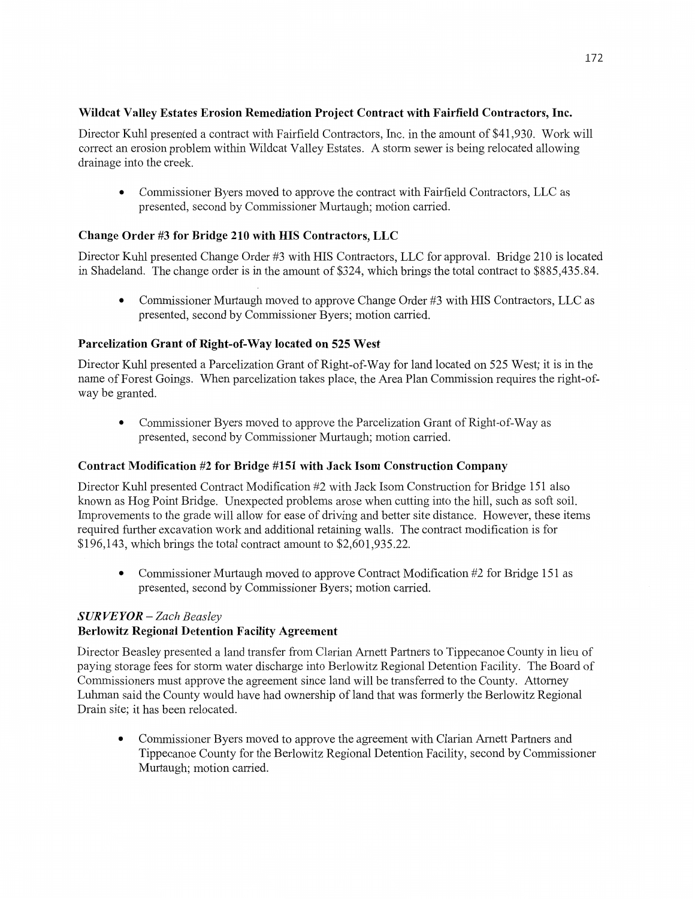# **Wildcat Valley Estates Erosion Remediation Project** Contract with **Fairfield** Contractors, Inc.

Director Kuhl presented **a** contract with Fairfield Contractors, Inc. in the amount of \$41,930. Work will correct an erosion problem within Wildcat Valley Estates. A storm sewer is being relocated allowing drainage into the creek.

**0** Commissioner Byers **moved** to approve the contract with Fairfield Contractors, LLC as presented, second by Commissioner Murtaugh; motion carried.

# **Change** Order #3 for **Bridge** 210 with HIS **Contractors,** LLC

Director Kuhl presented Change Order #3 with HIS Contractors, LLC for approval. Bridge 210 is located in Shadeland. The change order is in the amount of \$324, which brings the total contract to \$885,435.84.

**0** Commissioner Murtaugh moved to approve Change Order #3 with HIS Contractors, LLC as presented, second by Commissioner Byers; **motion** canied.

## **Parcelization Grant** of **Right-of-Way located** on 525 **West**

Director Kuhl presented a Parcelization Grant of Right-of-Way for land located on 525 West; it is in the name of Forest Goings. When parcelization takes place, the Area Plan **Commission** requires the right-of-Way be granted.

**0** Commissioner Byers moved to approve the Parcelization Grant of Right-of—Way as presented, second by Commissioner Muftaugh; motion carried.

## **Contract Modification** #2 for **Bridge** #151 **with Jack Isom** Construction **Company**

Director Kuhl presented Contract Modification #2 with Jack Isom Construction for Bridge 151 also known as Hog Point Bridge. Unexpected problems arose when cutting into the **hill,** such as **soft** soil. Improvements to the grade will allow for ease of driving and better site distance. However, these items required further excavation work and additional retaining walls. The contract modification is for \$196,143, which brings the total contract amount to \$2,601,935.22.

• Commissioner Murtaugh moved to approve Contract Modification #2 for Bridge 151 as presented, second by Commissioner Byers; **motion** carried.

# *S* UR VE *Y* 0R **—** *Zach Beasley*

# **Berlowitz Regional Detention Facility Agreement**

Director Beasley presented a land transfer from Clarian Amett Partners to Tippecanoe County in lieu of paying storage fees for storm water discharge into Berlowitz Regional Detention Facility. The Board of Commissioners must approve the agreement since land will be transferred to the County. Attorney Luhman said the County would have had **ownership** of land **that** was formerly the Berlowitz Regional Drain site; it has been relocated.

**0** Commissioner Byers **moved** to approve the agreement with Clarian Amett Partners and Tippecanoe County for the Berlowitz Regional Detention Facility, second by Commissioner Murtaugh; motion carried.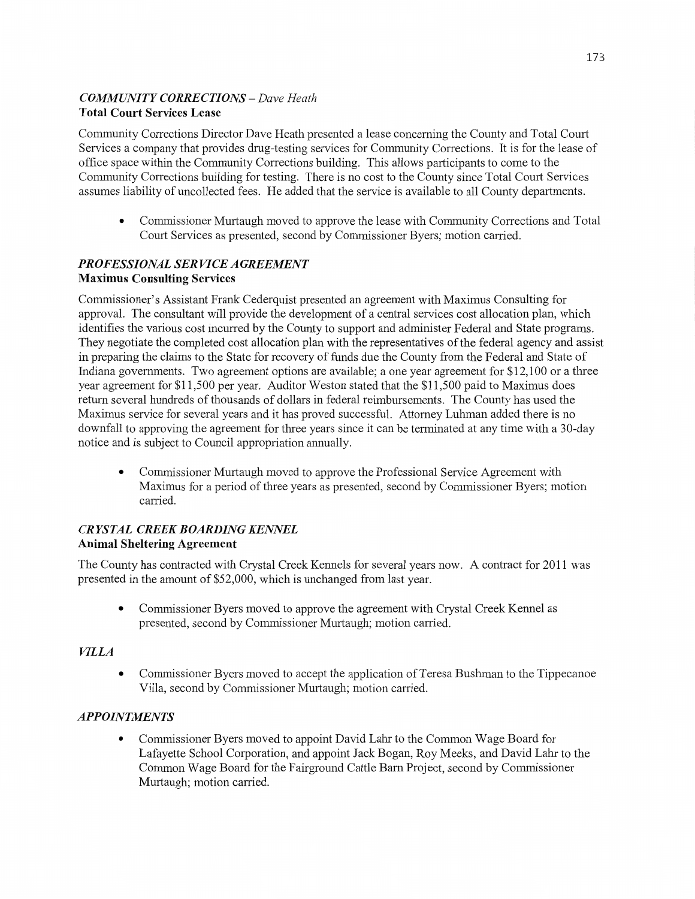# *COIMMIHVITY CORRECTIONS* — *Dave Heath*  **Total Court Services Lease**

Community Corrections Director Dave Heath presented a lease concerning the County and Total Court Services a company that provides drug-testing services for Community Corrections. It is for the lease of office space within the Community Corrections building. **This** allows participants to come to the Community Corrections building for testing. There is no cost to the County since Total Court Services assumes liability of uncollected fees. He added that the service is available to all County departments.

**0** Commissioner Murtaugh moved to approve the lease with Community Corrections and Total Court Services as presented, second by Commissioner Byers; motion carried.

# PR *OFESSIONAL* SER *VICE A GREEMEN T*  **Maximus** Consulting **Services**

Commissioner's Assistant Frank Cederquist presented an agreement with Maximus Consulting for approval. The consultant will provide the development of a central services cost allocation plan, which identifies the various cost incurred by the County to support and administer Federal and State programs. They negotiate the completed cost allocation plan with the representatives of the federal agency and assist in preparing the claims to the State for recovery of funds due the County from the Federal and State of Indiana governments. Two agreement options are available; a one year agreement for \$12,100 or a three year agreement for \$11,500 per year. Auditor Weston stated that the \$11,500 paid to Maximus does return several hundreds of thousands of dollars in federal reimbursements. The County has used the Maximus service for several years and it has proved successful. Attorney Luhman added there is no downfall to approving the agreement for three years since it can be terminated at any time with a 30-day notice and is subject to Council appropriation annually.

**0** Commissioner Murtaugh moved to approve the Professional Service Agreement with Maximus for a period of three years as presented, **second** by Commissioner Byers; motion carried.

# **CRYSTAL CREEK BOARDING KENNEL** Animal Sheltering **Agreement**

The County has contracted with Crystal Creek Kennels for several years now. **A** contract for 2011 was presented in the amount of \$52,000, which is unchanged from last year.

**0** Commissioner Byers moved to approve the agreement with Crystal Creek Kennel as presented, second by Commissioner Murtaugh; motion carried.

# *VILLA*

**0** Commissioner Byers moved to accept the application of Teresa Bushman to the Tippecanoe Villa, second by Commissioner Murtaugh; motion carried.

# *APPOINTMENTS*

**0** Commissioner Byers moved to appoint **David Lahr** to the Common Wage Board for Lafayette School Corporation, and appoint Jack Bogan, Roy Meeks, and **David** Lahr to the Common Wage Board for the Fairground Cattle Barn Project, second by Commissioner Murtaugh; motion carried.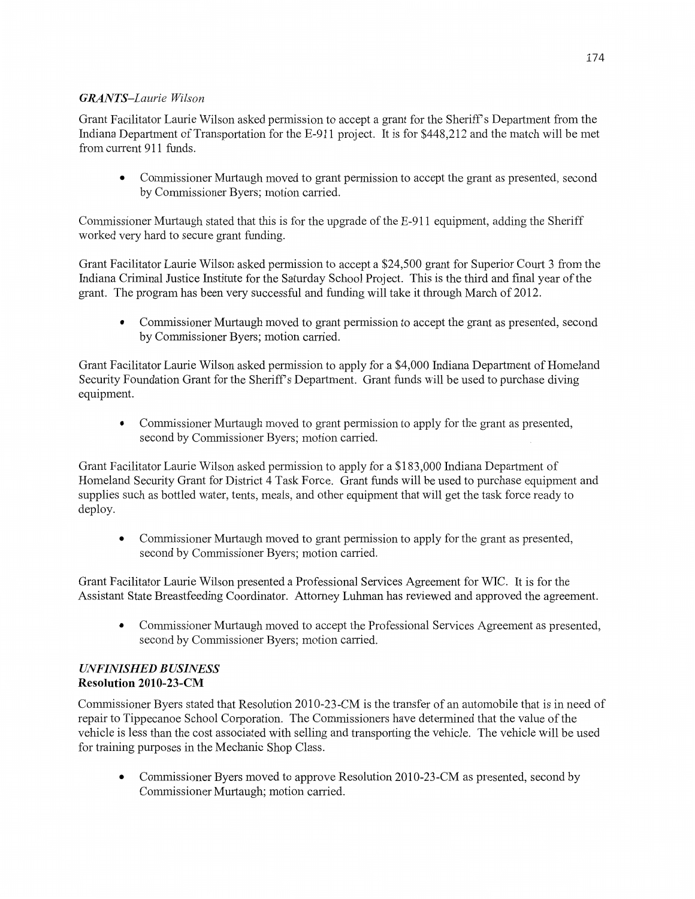# *GRAN T S—Laurie Wilson*

Grant Facilitator Laurie Wilson asked permission to accept a grant for the Sheriff's Department from the Indiana Department of Transportation for the E-911 project. It is for \$448,212 and the match will be met from current 911 funds.

**0** Commissioner Murtaugh moved to grant permission to accept the grant as presented, second by Commissioner Byers; motion carried.

Commissioner Murtaugh stated that this is for the upgrade of the E-911 equipment, adding the Sheriff worked very hard to secure grant funding.

Grant Facilitator Laurie Wilson asked permission to accept a \$24,500 grant for Superior Court 3 from the **Indiana** Criminal Justice Institute for the Saturday School Project. **This** is the **third** and final year of the grant. The program has been very **successfill** and fimding **will** take it through March of 2012.

**0** Commissioner Murtaugh moved to grant permission to accept the grant as presented, second by Commissioner Byers; motion carried.

Grant Facilitator Laurie Wilson asked permission to apply for a \$4,000 Indiana Department of Homeland Security Foundation Grant for the Sheriff's Department. Grant funds will be used to purchase diving equipment.

**0** Commissioner Murtaugh moved to grant permission to apply for the grant as presented, second by Commissioner Byers; motion carried.

Grant Facilitator Laurie Wilson asked permission to apply for a \$183,000 Indiana Department of Homeland Security Grant for District 4 Task Force. Grant **funds** will be used to purchase equipment and supplies such as bottled water, tents, meals, and other equipment that will get the task force ready to deploy.

**0** Commissioner Murtaugh moved to grant permission to apply for the grant as presented, second by Commissioner Byers; motion carried.

Grant Facilitator Laun'e Wilson presented a Professional Services Agreement for WIC. It is for the Assistant State Breastfeeding Coordinator. Attorney Luhman has reviewed and approved the agreement.

**0** Commissioner Murtaugh moved to accept the Professional Services Agreement as presented, second by Commissioner Byers; motion carried.

## *UNFINISHED BUSINESS*  Resolution **2010-23—CM**

Commissioner Byers stated **that** Resolution 2010—23-CM is the transfer of an automobile that is in need of repair to Tippecanoe School Corporation. The Commissioners have determined that the value of the vehicle is **less than** the cost associated with selling and transporting the **vehicle.** The vehicle will be used for training purposes in the Mechanic Shop Class.

• Commissioner Byers moved to approve Resolution 2010-23-CM as presented, second by Commissioner Murtaugh; motion carried.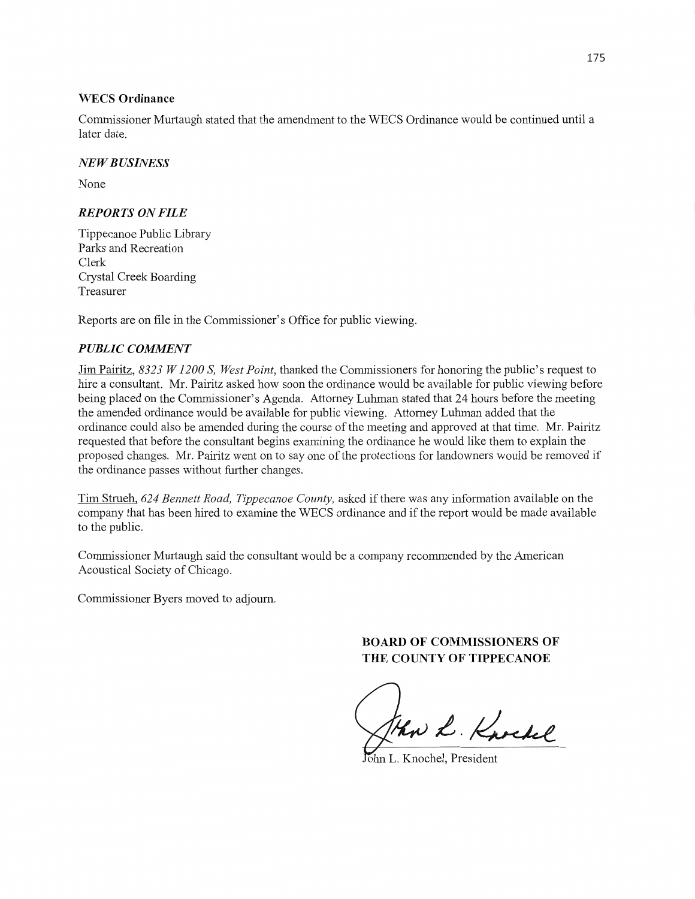#### WECS **Ordinance**

Commissioner Murtaugh stated that the amendment to the WECS Ordinance would be continued **until** <sup>a</sup> later date.

#### NE *W B USINESS*

None

#### *REPORTS* ON *FILE*

Tippecanoe Public Library Parks and Recreation Clerk Crystal Creek Boarding Treasurer

Reports are on file in the Commissioner's **Office** for public viewing.

#### **PUBLIC COMMENT**

Jim Pairitz, *8323 W1200* S, *West Point,* thanked the Commissioners for honoring the public's request to hire a consultant. Mr. Pairitz asked how soon the ordinance would be available for public viewing before being placed on the Commissioner's Agenda. Attorney Luhman stated that 24 hours before the meeting the amended ordinance would be available for public viewing. Attorney Luhman added that the ordinance could also be amended during the course of the meeting and approved at **that** time. Mr. Pairitz requested that before the consultant begins examining the ordinance he would like **them** to explain the proposed changes. Mr. Pairitz went on to say one of the protections for landowners would be removed if the ordinance passes without further changes.

Tim Strueh, 624 Bennett Road, Tippecanoe County, asked if there was any information available on the company that has been hired to examine the WECS ordinance and if the report would be made available to the public.

Commissioner Murtaugh said the consultant would be a company recommended by the American Acoustical Society of Chicago.

Commissioner Byers moved to adjourn.

# **BOARD** OF **COMMISSIONERS** OF **THE COUNTY OF TIPPECANOE**

Sthw L. Knochel

**hn L. Knochel, President**